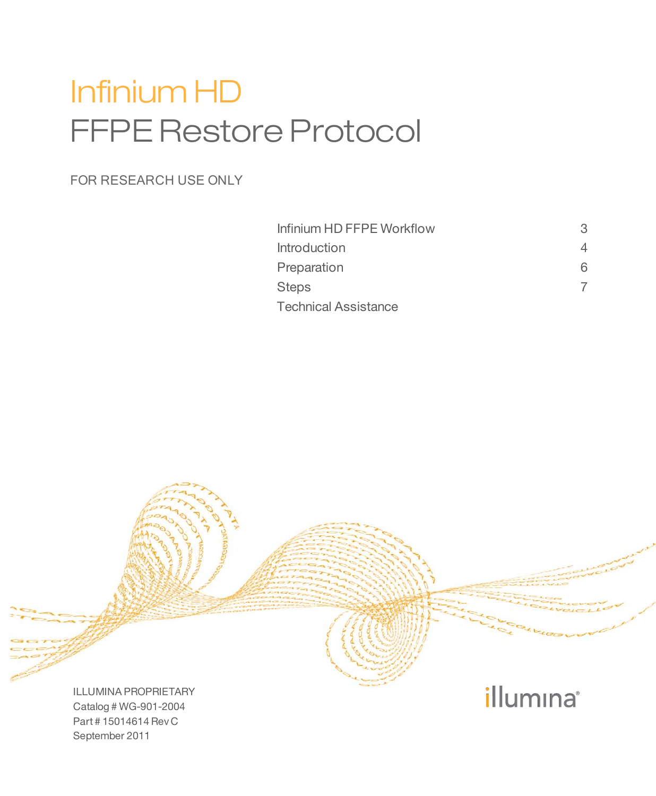# Infinium HD FFPE Restore Protocol

### FOR RESEARCH USE ONLY

| Infinium HD FFPE Workflow | З  |
|---------------------------|----|
| Introduction              |    |
| Preparation               | 6. |
| Steps                     |    |
| Technical Assistance      |    |

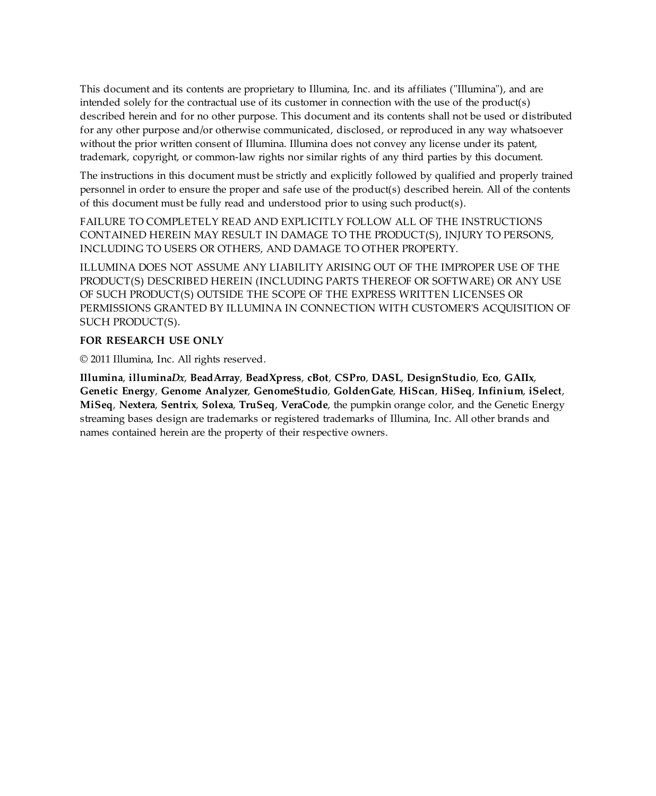This document and its contents are proprietary to Illumina, Inc. and its affiliates ("Illumina"), and are intended solely for the contractual use of its customer in connection with the use of the product(s) described herein and for no other purpose. This document and its contents shall not be used or distributed for any other purpose and/or otherwise communicated, disclosed, or reproduced in any way whatsoever without the prior written consent of Illumina. Illumina does not convey any license under its patent, trademark, copyright, or common-law rights nor similar rights of any third parties by this document.

The instructions in this document must be strictly and explicitly followed by qualified and properly trained personnel in order to ensure the proper and safe use of the product(s) described herein. All of the contents of this document must be fully read and understood prior to using such product(s).

FAILURE TO COMPLETELY READ AND EXPLICITLY FOLLOW ALL OF THE INSTRUCTIONS CONTAINED HEREIN MAY RESULT IN DAMAGE TO THE PRODUCT(S), INJURY TO PERSONS, INCLUDING TO USERS OR OTHERS, AND DAMAGE TO OTHER PROPERTY.

ILLUMINA DOES NOT ASSUME ANY LIABILITY ARISING OUT OF THE IMPROPER USE OF THE PRODUCT(S) DESCRIBED HEREIN (INCLUDING PARTS THEREOF OR SOFTWARE) OR ANY USE OF SUCH PRODUCT(S) OUTSIDE THE SCOPE OF THE EXPRESS WRITTEN LICENSES OR PERMISSIONS GRANTED BY ILLUMINA IN CONNECTION WITH CUSTOMER'S ACQUISITION OF SUCH PRODUCT(S).

#### **FOR RESEARCH USE ONLY**

© 2011 Illumina, Inc. All rights reserved.

**Illumina**, **illumina***Dx*, **BeadArray**, **BeadXpress**, **cBot**, **CSPro**, **DASL**, **DesignStudio**, **Eco**, **GAIIx**, **Genetic Energy**, **Genome Analyzer**, **GenomeStudio**, **GoldenGate**, **HiScan**, **HiSeq**, **Infinium**, **iSelect**, **MiSeq**, **Nextera**, **Sentrix**, **Solexa**, **TruSeq**, **VeraCode**, the pumpkin orange color, and the Genetic Energy streaming bases design are trademarks or registered trademarks of Illumina, Inc. All other brands and names contained herein are the property of their respective owners.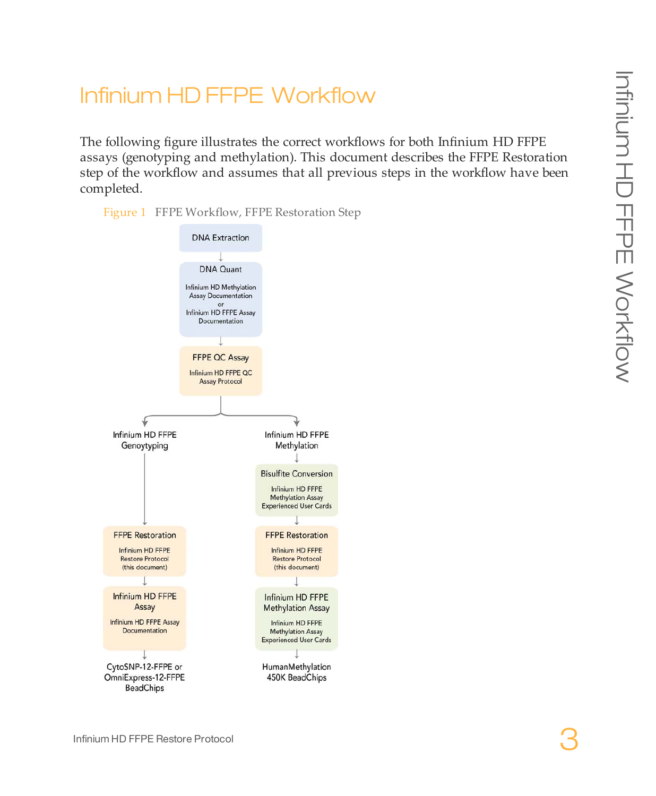### <span id="page-2-0"></span>Infinium HD FFPE Workflow

The following figure illustrates the correct workflows for both Infinium HD FFPE assays (genotyping and methylation). This document describes the FFPE Restoration step of the workflow and assumes that all previous steps in the workflow have been completed.



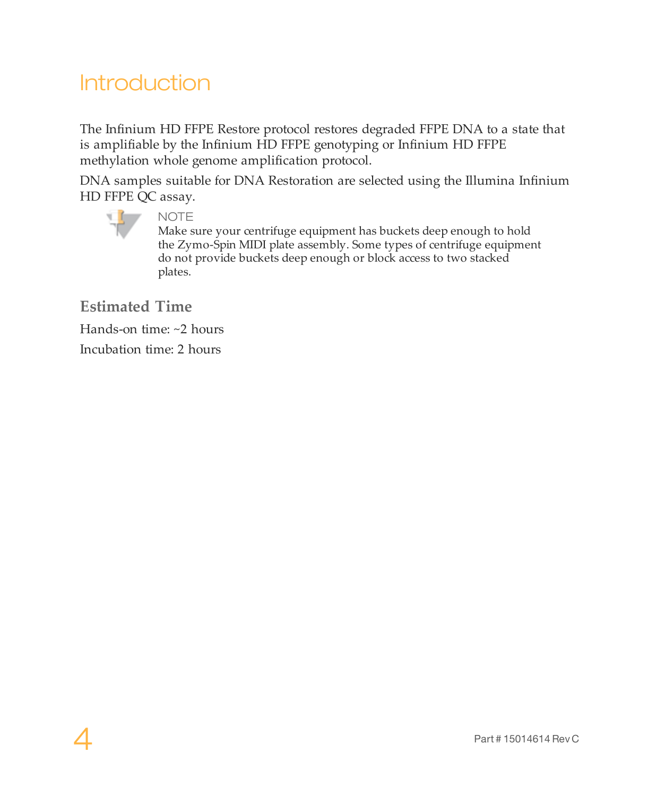## <span id="page-3-0"></span>Introduction

The Infinium HD FFPE Restore protocol restores degraded FFPE DNA to a state that is amplifiable by the Infinium HD FFPE genotyping or Infinium HD FFPE methylation whole genome amplification protocol.

DNA samples suitable for DNA Restoration are selected using the Illumina Infinium HD FFPE QC assay.



NOTE

Make sure your centrifuge equipment has buckets deep enough to hold the Zymo-Spin MIDI plate assembly. Some types of centrifuge equipment do not provide buckets deep enough or block access to two stacked plates.

**Estimated Time**

Hands-on time: ~2 hours

Incubation time: 2 hours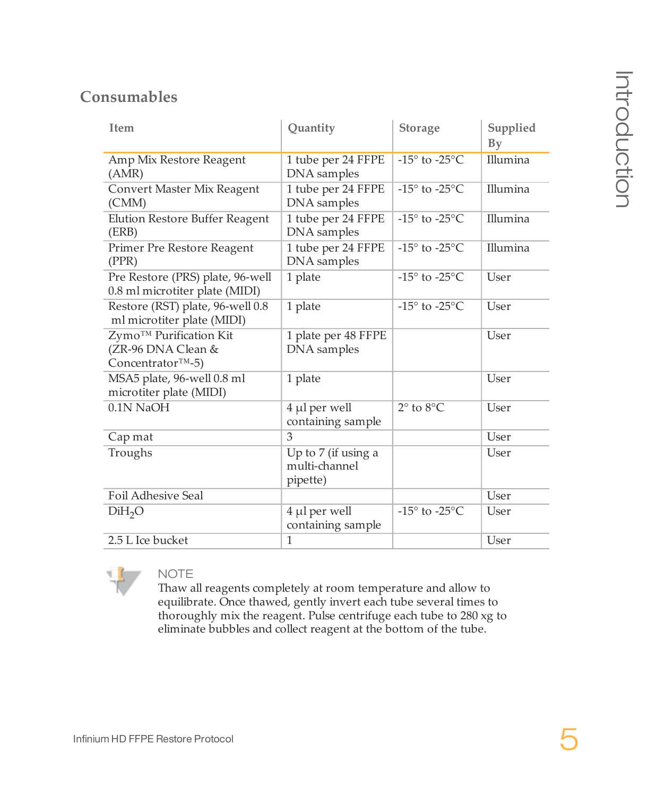### **Consumables**

| Item                                                                           | Quantity                                         | Storage                            | Supplied<br>Bv |
|--------------------------------------------------------------------------------|--------------------------------------------------|------------------------------------|----------------|
| Amp Mix Restore Reagent<br>(AMR)                                               | 1 tube per 24 FFPE<br>DNA samples                | -15 $\degree$ to -25 $\degree$ C   | Illumina       |
| Convert Master Mix Reagent<br>(CMM)                                            | 1 tube per 24 FFPE<br>DNA samples                | -15 $\degree$ to -25 $\degree$ C   | Illumina       |
| Elution Restore Buffer Reagent<br>(ERB)                                        | 1 tube per 24 FFPE<br>DNA samples                | -15 $\degree$ to -25 $\degree$ C   | Illumina       |
| Primer Pre Restore Reagent<br>(PPR)                                            | 1 tube per 24 FFPE<br>DNA samples                | -15 $\degree$ to -25 $\degree$ C   | Illumina       |
| Pre Restore (PRS) plate, 96-well<br>0.8 ml microtiter plate (MIDI)             | 1 plate                                          | -15 $^{\circ}$ to -25 $^{\circ}$ C | User           |
| Restore (RST) plate, 96-well 0.8<br>ml microtiter plate (MIDI)                 | 1 plate                                          | $-15^\circ$ to $-25^\circ$ C.      | User           |
| Zymo™ Purification Kit<br>(ZR-96 DNA Clean &<br>Concentrator <sup>TM</sup> -5) | 1 plate per 48 FFPE<br>DNA samples               |                                    | User           |
| MSA5 plate, 96-well 0.8 ml<br>microtiter plate (MIDI)                          | 1 plate                                          |                                    | User           |
| 0.1N NaOH                                                                      | 4 µl per well<br>containing sample               | $2^{\circ}$ to $8^{\circ}$ C.      | User           |
| Cap mat                                                                        | 3                                                |                                    | User           |
| Troughs                                                                        | Up to 7 (if using a<br>multi-channel<br>pipette) |                                    | User           |
| Foil Adhesive Seal                                                             |                                                  |                                    | User           |
| DiH <sub>2</sub> O                                                             | 4 µl per well<br>containing sample               | $-15^{\circ}$ to $-25^{\circ}$ C   | User           |
| 2.5 L Ice bucket                                                               | 1                                                |                                    | User           |



#### NOTE

Thaw all reagents completely at room temperature and allow to equilibrate. Once thawed, gently invert each tube several times to thoroughly mix the reagent. Pulse centrifuge each tube to 280 xg to eliminate bubbles and collect reagent at the bottom of the tube.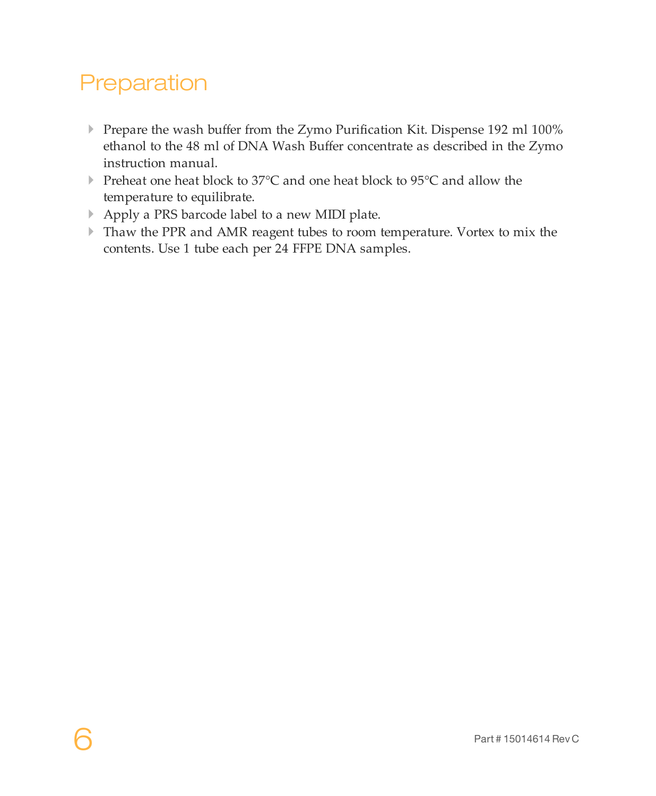# <span id="page-5-0"></span>Preparation

- } Prepare the wash buffer from the Zymo Purification Kit. Dispense 192 ml 100% ethanol to the 48 ml of DNA Wash Buffer concentrate as described in the Zymo instruction manual.
- } Preheat one heat block to 37°C and one heat block to 95°C and allow the temperature to equilibrate.
- } Apply a PRS barcode label to a new MIDI plate.
- } Thaw the PPR and AMR reagent tubes to room temperature. Vortex to mix the contents. Use 1 tube each per 24 FFPE DNA samples.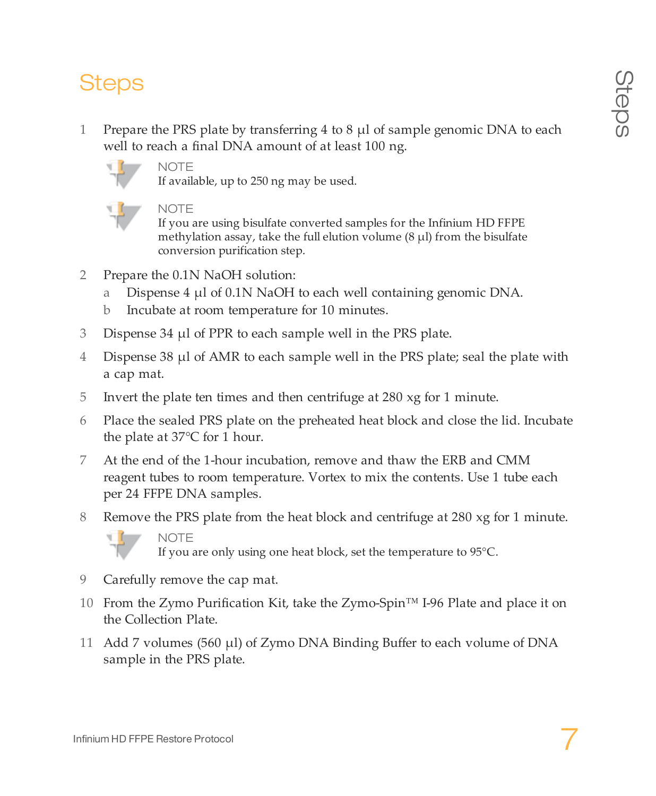# <span id="page-6-0"></span>Steps

1 Prepare the PRS plate by transferring 4 to 8  $\mu$ l of sample genomic DNA to each well to reach a final DNA amount of at least 100 ng.



**NOTE** 

If available, up to 250 ng may be used.



**NOTE** 

If you are using bisulfate converted samples for the Infinium HD FFPE methylation assay, take the full elution volume  $(8 \mu l)$  from the bisulfate conversion purification step.

- 2 Prepare the 0.1N NaOH solution:
	- a Dispense 4  $\mu$ l of 0.1N NaOH to each well containing genomic DNA.
	- b Incubate at room temperature for 10 minutes.
- 3 Dispense 34 µl of PPR to each sample well in the PRS plate.
- 4 Dispense 38 µl of AMR to each sample well in the PRS plate; seal the plate with a cap mat.
- 5 Invert the plate ten times and then centrifuge at 280 xg for 1 minute.
- 6 Place the sealed PRS plate on the preheated heat block and close the lid. Incubate the plate at 37°C for 1 hour.
- 7 At the end of the 1-hour incubation, remove and thaw the ERB and CMM reagent tubes to room temperature. Vortex to mix the contents. Use 1 tube each per 24 FFPE DNA samples.
- 8 Remove the PRS plate from the heat block and centrifuge at 280 xg for 1 minute.



**NOTE** If you are only using one heat block, set the temperature to 95°C.

- 9 Carefully remove the cap mat.
- 10 From the Zymo Purification Kit, take the Zymo-Spin™ I-96 Plate and place it on the Collection Plate.
- 11 Add 7 volumes (560 µl) of Zymo DNA Binding Buffer to each volume of DNA sample in the PRS plate.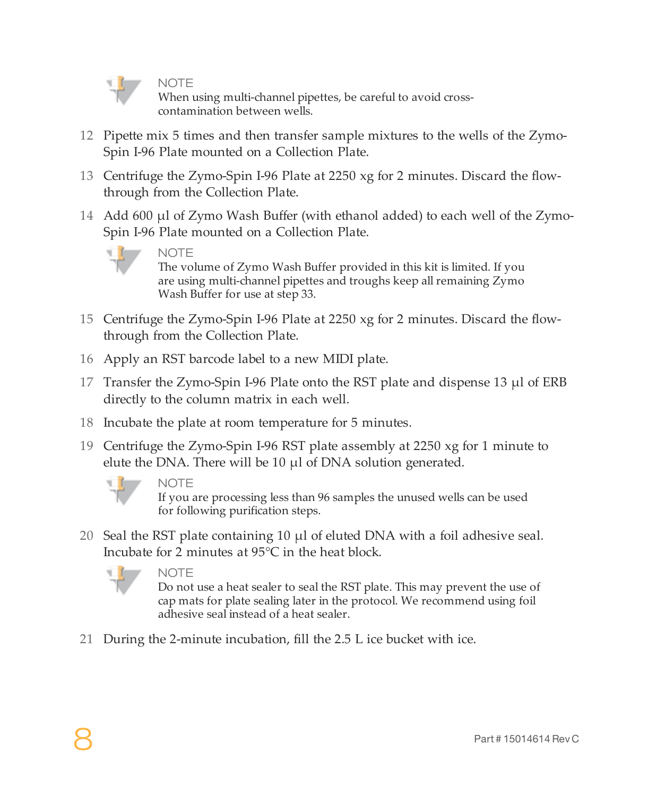

**NOTE** 

When using multi-channel pipettes, be careful to avoid crosscontamination between wells.

- 12 Pipette mix 5 times and then transfer sample mixtures to the wells of the Zymo-Spin I-96 Plate mounted on a Collection Plate.
- 13 Centrifuge the Zymo-Spin I-96 Plate at 2250 xg for 2 minutes. Discard the flowthrough from the Collection Plate.
- 14 Add 600 µl of Zymo Wash Buffer (with ethanol added) to each well of the Zymo-Spin I-96 Plate mounted on a Collection Plate.



**NOTE** The volume of Zymo Wash Buffer provided in this kit is limited. If you are using multi-channel pipettes and troughs keep all remaining Zymo

- 15 Centrifuge the Zymo-Spin I-96 Plate at 2250 xg for 2 minutes. Discard the flowthrough from the Collection Plate.
- 16 Apply an RST barcode label to a new MIDI plate.

Wash Buffer for use at step 33.

- 17 Transfer the Zymo-Spin I-96 Plate onto the RST plate and dispense 13 µl of ERB directly to the column matrix in each well.
- 18 Incubate the plate at room temperature for 5 minutes.
- 19 Centrifuge the Zymo-Spin I-96 RST plate assembly at 2250 xg for 1 minute to elute the DNA. There will be  $10 \mu l$  of DNA solution generated.



#### **NOTE**

If you are processing less than 96 samples the unused wells can be used for following purification steps.

20 Seal the RST plate containing 10 µl of eluted DNA with a foil adhesive seal. Incubate for 2 minutes at 95°C in the heat block.



**NOTE** 

Do not use a heat sealer to seal the RST plate. This may prevent the use of cap mats for plate sealing later in the protocol. We recommend using foil adhesive seal instead of a heat sealer.

21 During the 2-minute incubation, fill the 2.5 L ice bucket with ice.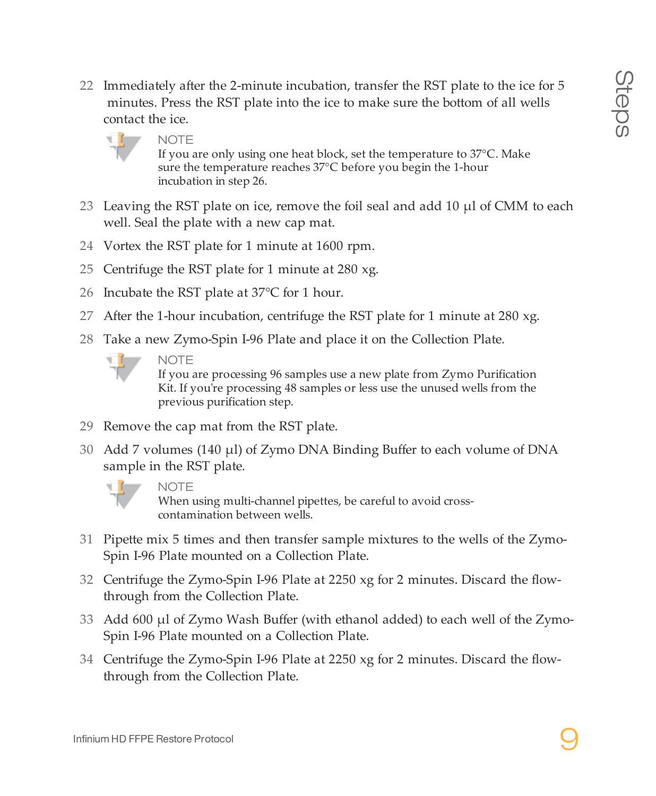22 Immediately after the 2-minute incubation, transfer the RST plate to the ice for 5 minutes. Press the RST plate into the ice to make sure the bottom of all wells contact the ice.



**NOTE** 

If you are only using one heat block, set the temperature to 37°C. Make sure the temperature reaches 37°C before you begin the 1-hour incubation in step 26.

- 23 Leaving the RST plate on ice, remove the foil seal and add 10 µl of CMM to each well. Seal the plate with a new cap mat.
- 24 Vortex the RST plate for 1 minute at 1600 rpm.
- 25 Centrifuge the RST plate for 1 minute at 280 xg.
- 26 Incubate the RST plate at 37°C for 1 hour.
- 27 After the 1-hour incubation, centrifuge the RST plate for 1 minute at 280 xg.
- 28 Take a new Zymo-Spin I-96 Plate and place it on the Collection Plate.



If you are processing 96 samples use a new plate from Zymo Purification Kit. If you're processing 48 samples or less use the unused wells from the previous purification step.

- 29 Remove the cap mat from the RST plate.
- 30 Add 7 volumes (140 µl) of Zymo DNA Binding Buffer to each volume of DNA sample in the RST plate.



**NOTE** 

When using multi-channel pipettes, be careful to avoid crosscontamination between wells.

- 31 Pipette mix 5 times and then transfer sample mixtures to the wells of the Zymo-Spin I-96 Plate mounted on a Collection Plate.
- 32 Centrifuge the Zymo-Spin I-96 Plate at 2250 xg for 2 minutes. Discard the flowthrough from the Collection Plate.
- 33 Add 600 µl of Zymo Wash Buffer (with ethanol added) to each well of the Zymo-Spin I-96 Plate mounted on a Collection Plate.
- 34 Centrifuge the Zymo-Spin I-96 Plate at 2250 xg for 2 minutes. Discard the flowthrough from the Collection Plate.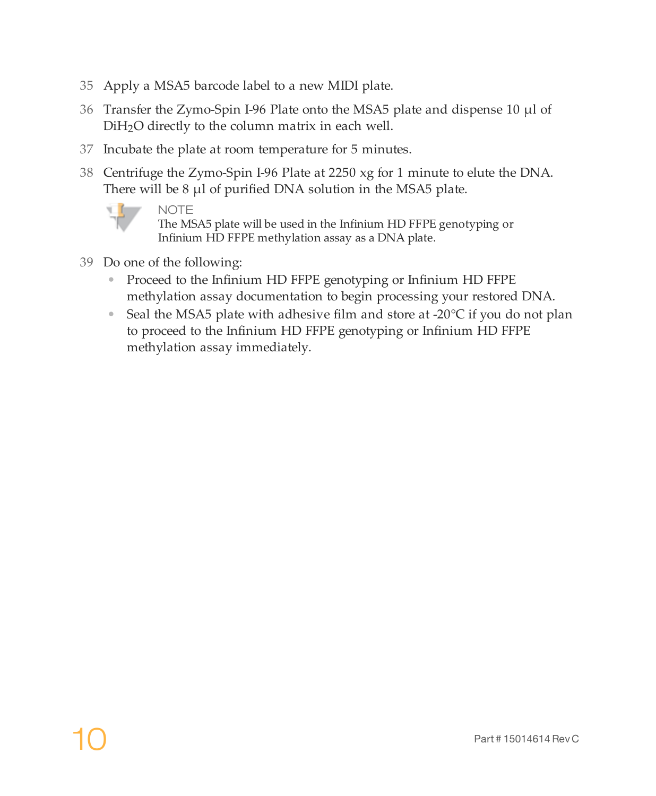- 35 Apply a MSA5 barcode label to a new MIDI plate.
- 36 Transfer the Zymo-Spin I-96 Plate onto the MSA5 plate and dispense 10 µl of DiH2O directly to the column matrix in each well.
- 37 Incubate the plate at room temperature for 5 minutes.
- 38 Centrifuge the Zymo-Spin I-96 Plate at 2250 xg for 1 minute to elute the DNA. There will be 8 µl of purified DNA solution in the MSA5 plate.



**NOTE** 

The MSA5 plate will be used in the Infinium HD FFPE genotyping or Infinium HD FFPE methylation assay as a DNA plate.

- 39 Do one of the following:
	- Proceed to the Infinium HD FFPE genotyping or Infinium HD FFPE methylation assay documentation to begin processing your restored DNA.
	- Seal the MSA5 plate with adhesive film and store at -20 $\degree$ C if you do not plan to proceed to the Infinium HD FFPE genotyping or Infinium HD FFPE methylation assay immediately.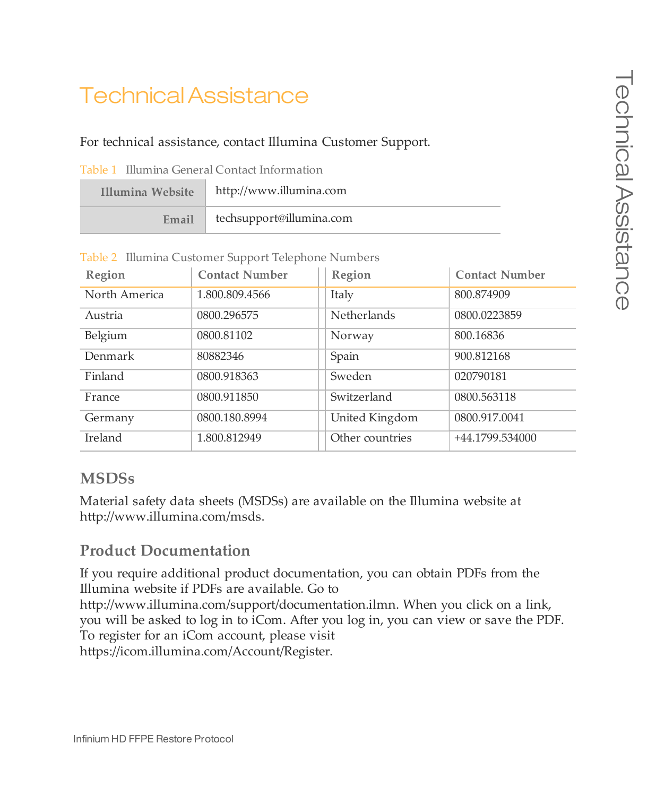# <span id="page-10-0"></span>Technical Assistance

#### For technical assistance, contact Illumina Customer Support.

| Illumina Website | http://www.illumina.com  |
|------------------|--------------------------|
| Email            | techsupport@illumina.com |

Table 2 Illumina Customer Support Telephone Numbers

| Region        | Contact Number | Region             | <b>Contact Number</b> |
|---------------|----------------|--------------------|-----------------------|
| North America | 1.800.809.4566 | Italy              | 800.874909            |
| Austria       | 0800.296575    | <b>Netherlands</b> | 0800.0223859          |
| Belgium       | 0800.81102     | Norway             | 800.16836             |
| Denmark       | 80882346       | Spain              | 900.812168            |
| Finland       | 0800.918363    | Sweden             | 020790181             |
| France        | 0800.911850    | Switzerland        | 0800.563118           |
| Germany       | 0800.180.8994  | United Kingdom     | 0800.917.0041         |
| Ireland       | 1.800.812949   | Other countries    | +44.1799.534000       |

### **MSDSs**

Material safety data sheets (MSDSs) are available on the Illumina website at [http://www.illumina.com/msds.](http://www.illumina.com/msds)

### **Product Documentation**

If you require additional product documentation, you can obtain PDFs from the Illumina website if PDFs are available. Go to http://www.illumina.com/support/documentation.ilmn. When you click on a link, you will be asked to log in to iCom. After you log in, you can view or save the PDF. To register for an iCom account, please visit https://icom.illumina.com/Account/Register.